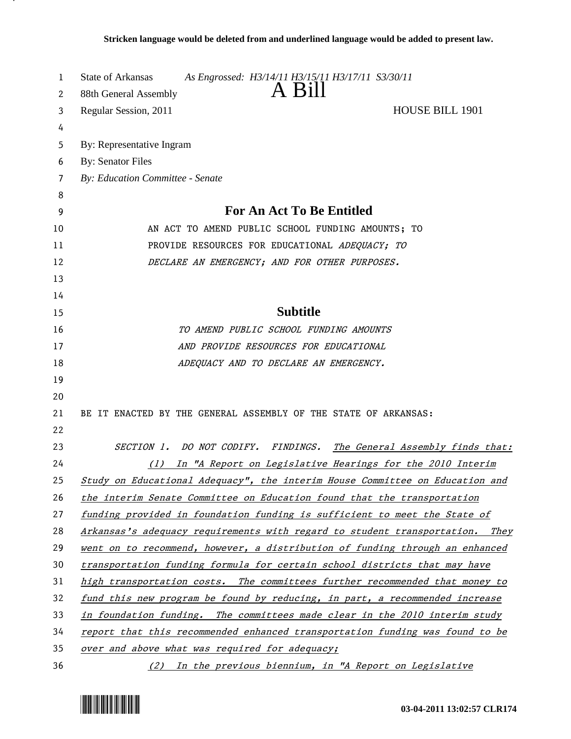| 1  | As Engrossed: H3/14/11 H3/15/11 H3/17/11 S3/30/11<br>State of Arkansas       |
|----|------------------------------------------------------------------------------|
| 2  | A Bill<br>88th General Assembly                                              |
| 3  | Regular Session, 2011<br><b>HOUSE BILL 1901</b>                              |
| 4  |                                                                              |
| 5  | By: Representative Ingram                                                    |
| 6  | <b>By: Senator Files</b>                                                     |
| 7  | By: Education Committee - Senate                                             |
| 8  |                                                                              |
| 9  | <b>For An Act To Be Entitled</b>                                             |
| 10 | AN ACT TO AMEND PUBLIC SCHOOL FUNDING AMOUNTS; TO                            |
| 11 | PROVIDE RESOURCES FOR EDUCATIONAL ADEQUACY; TO                               |
| 12 | DECLARE AN EMERGENCY; AND FOR OTHER PURPOSES.                                |
| 13 |                                                                              |
| 14 |                                                                              |
| 15 | <b>Subtitle</b>                                                              |
| 16 | TO AMEND PUBLIC SCHOOL FUNDING AMOUNTS                                       |
| 17 | AND PROVIDE RESOURCES FOR EDUCATIONAL                                        |
| 18 | ADEQUACY AND TO DECLARE AN EMERGENCY.                                        |
| 19 |                                                                              |
| 20 |                                                                              |
| 21 | BE IT ENACTED BY THE GENERAL ASSEMBLY OF THE STATE OF ARKANSAS:              |
| 22 |                                                                              |
| 23 | SECTION 1. DO NOT CODIFY. FINDINGS. The General Assembly finds that:         |
| 24 | In "A Report on Legislative Hearings for the 2010 Interim<br>(1)             |
| 25 | Study on Educational Adequacy", the interim House Committee on Education and |
| 26 | the interim Senate Committee on Education found that the transportation      |
| 27 | funding provided in foundation funding is sufficient to meet the State of    |
| 28 | Arkansas's adequacy requirements with regard to student transportation. They |
| 29 | went on to recommend, however, a distribution of funding through an enhanced |
| 30 | transportation funding formula for certain school districts that may have    |
| 31 | high transportation costs. The committees further recommended that money to  |
| 32 | fund this new program be found by reducing, in part, a recommended increase  |
| 33 | in foundation funding. The committees made clear in the 2010 interim study   |
| 34 | report that this recommended enhanced transportation funding was found to be |
| 35 | over and above what was required for adequacy;                               |
| 36 | (2) In the previous biennium, in "A Report on Legislative                    |

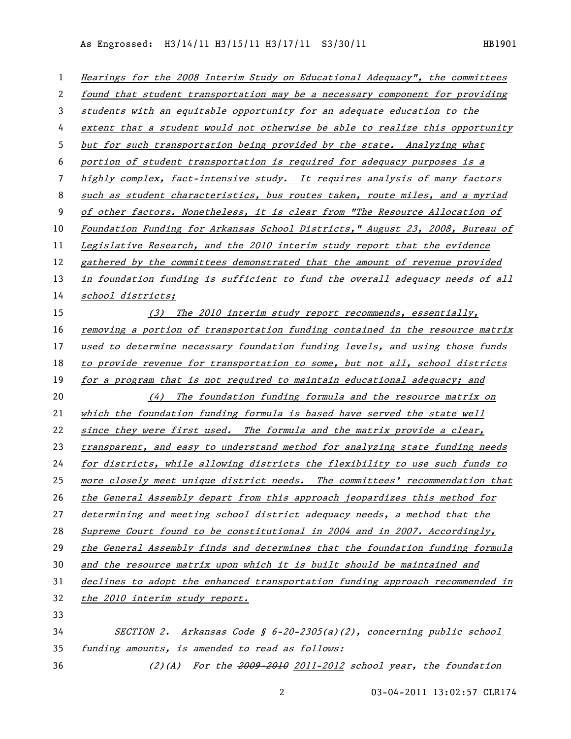As Engrossed: H3/14/11 H3/15/11 H3/17/11 S3/30/11 HB1901

| $\mathbf{1}$ | Hearings for the 2008 Interim Study on Educational Adequacy", the committees  |
|--------------|-------------------------------------------------------------------------------|
| 2            | found that student transportation may be a necessary component for providing  |
| 3            | students with an equitable opportunity for an adequate education to the       |
| 4            | extent that a student would not otherwise be able to realize this opportunity |
| 5            | but for such transportation being provided by the state. Analyzing what       |
| 6            | portion of student transportation is required for adequacy purposes is a      |
| 7            | highly complex, fact-intensive study. It requires analysis of many factors    |
| 8            | such as student characteristics, bus routes taken, route miles, and a myriad  |
| 9            | of other factors. Nonetheless, it is clear from "The Resource Allocation of   |
| 10           | Foundation Funding for Arkansas School Districts," August 23, 2008, Bureau of |
| 11           | Legislative Research, and the 2010 interim study report that the evidence     |
| 12           | gathered by the committees demonstrated that the amount of revenue provided   |
| 13           | in foundation funding is sufficient to fund the overall adequacy needs of all |
| 14           | school districts;                                                             |
| 15           | (3) The 2010 interim study report recommends, essentially,                    |
| 16           | removing a portion of transportation funding contained in the resource matrix |
| 17           | used to determine necessary foundation funding levels, and using those funds  |
| 18           | to provide revenue for transportation to some, but not all, school districts  |
| 19           | for a program that is not required to maintain educational adequacy; and      |
| 20           | (4) The foundation funding formula and the resource matrix on                 |
| 21           | which the foundation funding formula is based have served the state well      |
| 22           | since they were first used. The formula and the matrix provide a clear,       |
| 23           | transparent, and easy to understand method for analyzing state funding needs  |
| 24           | for districts, while allowing districts the flexibility to use such funds to  |
| 25           | more closely meet unique district needs. The committees' recommendation that  |
| 26           | the General Assembly depart from this approach jeopardizes this method for    |
| 27           | determining and meeting school district adequacy needs, a method that the     |
| 28           | Supreme Court found to be constitutional in 2004 and in 2007. Accordingly,    |
| 29           | the General Assembly finds and determines that the foundation funding formula |
| 30           | and the resource matrix upon which it is built should be maintained and       |
| 31           | declines to adopt the enhanced transportation funding approach recommended in |
| 32           | the 2010 interim study report.                                                |
| 33           |                                                                               |
| 34           | SECTION 2. Arkansas Code § $6-20-2305(a)(2)$ , concerning public school       |
| 35           | funding amounts, is amended to read as follows:                               |
| 36           | $(2)(A)$ For the $2009-2010$ $2011-2012$ school year, the foundation          |

03-04-2011 13:02:57 CLR174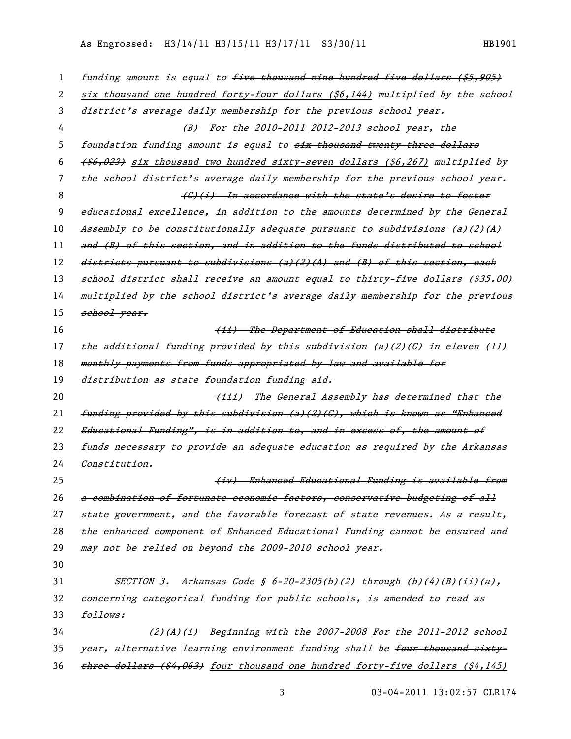## As Engrossed: H3/14/11 H3/15/11 H3/17/11 S3/30/11 HB1901

| 1  | funding amount is equal to five thousand nine hundred five dollars (\$5,905)   |
|----|--------------------------------------------------------------------------------|
| 2  | six thousand one hundred forty-four dollars (\$6,144) multiplied by the school |
| 3  | district's average daily membership for the previous school year.              |
| 4  | (B) For the 2010-2011 2012-2013 school year, the                               |
| 5  | foundation funding amount is equal to six thousand twenty three dollars        |
| 6  | (\$6,023) six thousand two hundred sixty-seven dollars (\$6,267) multiplied by |
| 7  | the school district's average daily membership for the previous school year.   |
| 8  | (G)(i) In accordance with the state's desire to foster                         |
| 9  | educational excellence, in addition to the amounts determined by the General   |
| 10 | Assembly to be constitutionally adequate pursuant to subdivisions (a)(2)(A)    |
| 11 | and (B) of this section, and in addition to the funds distributed to school    |
| 12 | districts pursuant to subdivisions (a)(2)(A) and (B) of this section, each     |
| 13 | school district shall receive an amount equal to thirty-five dollars (\$35.00) |
| 14 | multiplied by the school district's average daily membership for the previous  |
| 15 | school year.                                                                   |
| 16 | (ii) The Department of Education shall distribute                              |
| 17 | the additional funding provided by this subdivision (a)(2)(C) in eleven (ll)   |
| 18 | monthly payments from funds appropriated by law and available for              |
| 19 | distribution as state foundation funding aid.                                  |
| 20 | (iii) The General Assembly has determined that the                             |
| 21 | funding provided by this subdivision (a)(2)(C), which is known as "Enhanced    |
| 22 | Educational Funding", is in addition to, and in excess of, the amount of       |
| 23 | funds necessary to provide an adequate education as required by the Arkansas   |
| 24 | Constitution.                                                                  |
| 25 | (iv) Enhanced Educational Funding is available from                            |
| 26 | a combination of fortunate economic factors, conservative budgeting of all     |
| 27 | state government, and the favorable forecast of state revenues. As a result,   |
| 28 | the enhanced component of Enhanced Educational Funding cannot be ensured and   |
| 29 | may not be relied on beyond the 2009-2010 school year.                         |

30

31 SECTION 3. Arkansas Code §  $6-20-2305(b)(2)$  through (b)(4)(B)(ii)(a), 32 concerning categorical funding for public schools, is amended to read as 33 follows:

 $(2)(A)(i)$  Beginning with the 2007-2008 For the 2011-2012 school 35 year, alternative learning environment funding shall be four thousand sixty-36 three dollars (\$4,063) four thousand one hundred forty-five dollars (\$4,145)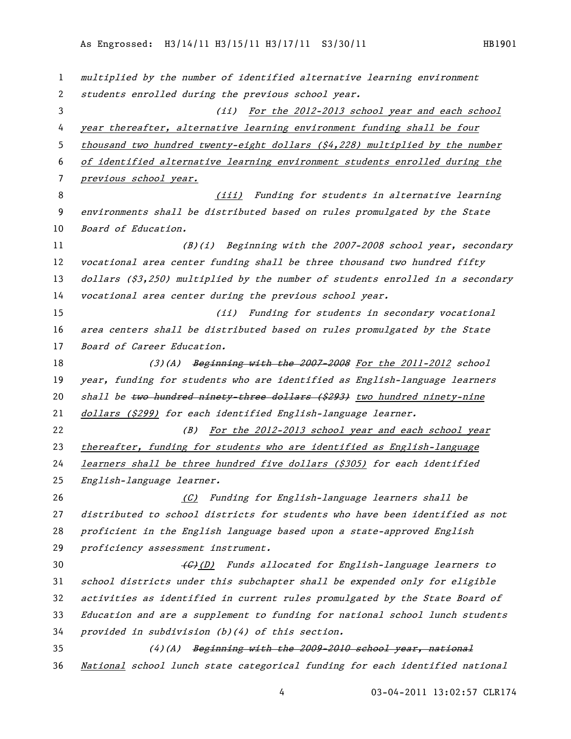multiplied by the number of identified alternative learning environment students enrolled during the previous school year. 3 (ii) For the 2012-2013 school year and each school year thereafter, alternative learning environment funding shall be four thousand two hundred twenty-eight dollars (\$4,228) multiplied by the number of identified alternative learning environment students enrolled during the previous school year. 8 (iii) Funding for students in alternative learning environments shall be distributed based on rules promulgated by the State 10 Board of Education. (B)(i) Beginning with the 2007-2008 school year, secondary 12 vocational area center funding shall be three thousand two hundred fifty 13 dollars (\$3,250) multiplied by the number of students enrolled in a secondary vocational area center during the previous school year. (ii) Funding for students in secondary vocational area centers shall be distributed based on rules promulgated by the State 17 Board of Career Education. 18 (3)(A) Beginning with the 2007-2008 For the 2011-2012 school 19 year, funding for students who are identified as English-language learners 20 shall be two hundred ninety-three dollars (\$293) two hundred ninety-nine 21 dollars (\$299) for each identified English-language learner. (B) For the 2012-2013 school year and each school year thereafter, funding for students who are identified as English-language learners shall be three hundred five dollars (\$305) for each identified English-language learner. (C) Funding for English-language learners shall be distributed to school districts for students who have been identified as not proficient in the English language based upon a state-approved English proficiency assessment instrument. 30 (G)(D) Funds allocated for English-language learners to school districts under this subchapter shall be expended only for eligible activities as identified in current rules promulgated by the State Board of Education and are a supplement to funding for national school lunch students provided in subdivision (b)(4) of this section.  $(4)(A)$  Beginning with the 2009-2010 school year, national National school lunch state categorical funding for each identified national

03-04-2011 13:02:57 CLR174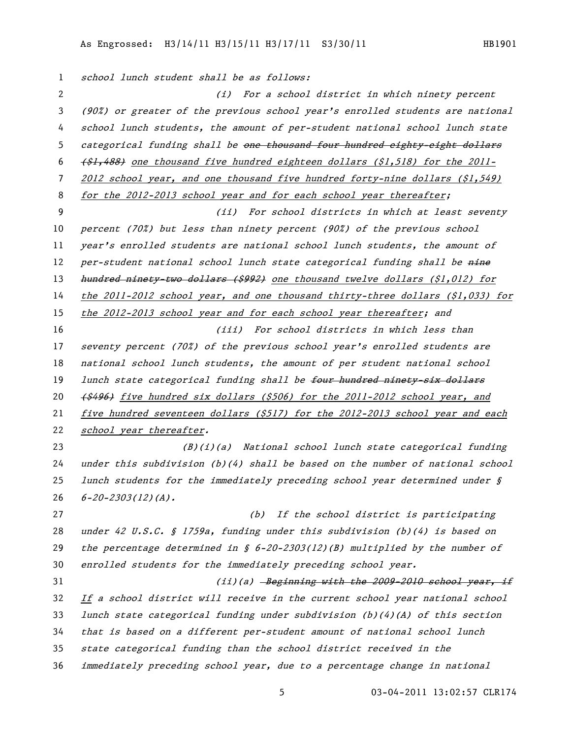1 school lunch student shall be as follows: (i) For a school district in which ninety percent (90%) or greater of the previous school year's enrolled students are national school lunch students, the amount of per-student national school lunch state 5 categorical funding shall be <del>one thousand four hundred eighty-eight dollars</del>  $\left( \frac{21}{348} \right)$  one thousand five hundred eighteen dollars (\$1,518) for the 2011- 2012 school year, and one thousand five hundred forty-nine dollars (\$1,549) 8 for the 2012-2013 school year and for each school year thereafter; (ii) For school districts in which at least seventy percent (70%) but less than ninety percent (90%) of the previous school 11 year's enrolled students are national school lunch students, the amount of 12 per-student national school lunch state categorical funding shall be nine 13 hundred ninety-two dollars (\$992) one thousand twelve dollars (\$1,012) for the 2011-2012 school year, and one thousand thirty-three dollars (\$1,033) for 15 the 2012-2013 school year and for each school year thereafter; and (iii) For school districts in which less than seventy percent (70%) of the previous school year's enrolled students are 18 national school lunch students, the amount of per student national school 19 lunch state categorical funding shall be four hundred ninety-six dollars (\$496) five hundred six dollars (\$506) for the 2011-2012 school year, and five hundred seventeen dollars (\$517) for the 2012-2013 school year and each 22 school year thereafter. (B)(i)(a) National school lunch state categorical funding under this subdivision (b)(4) shall be based on the number of national school 25 lunch students for the immediately preceding school year determined under  $\hat{S}$  $6 - 20 - 2303(12)(A)$ . (b) If the school district is participating under 42 U.S.C. § 1759a, funding under this subdivision (b)(4) is based on 29 the percentage determined in  $\zeta$  6-20-2303(12)(B) multiplied by the number of enrolled students for the immediately preceding school year.  $(iii)(a)$  -Beginning with the 2009-2010 school year, if If a school district will receive in the current school year national school lunch state categorical funding under subdivision (b)(4)(A) of this section that is based on a different per-student amount of national school lunch state categorical funding than the school district received in the immediately preceding school year, due to a percentage change in national

03-04-2011 13:02:57 CLR174